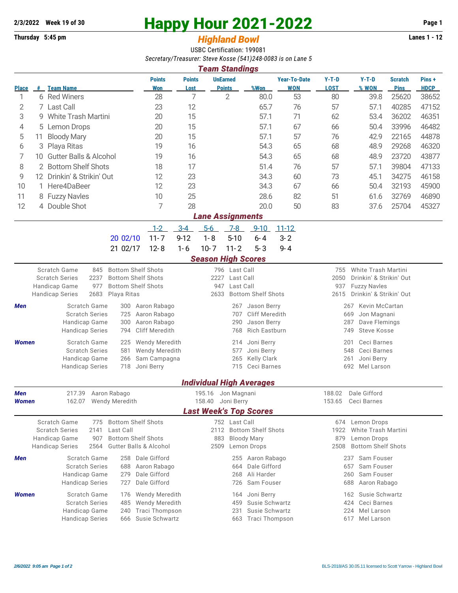## **2/3/2022** Week 19 of 30<br>
Thursday 5:45 pm<br> **Example 2021-2022** Page 1<br> **Page 1**<br> **Example 2021-2022** Page 1<br> **Page 1**

## **Thursday 5:45 pm** *Highland Bowl*

USBC Certification: 199081 *Secretary/Treasurer: Steve Kosse (541)248-0083 is on Lane 5*

| <b>Team Standings</b>                                                                                                     |                                         |                                                        |                                   |                       |                                                    |                                  |                                            |                               |                                                         |                                 |                  |                               |                      |  |
|---------------------------------------------------------------------------------------------------------------------------|-----------------------------------------|--------------------------------------------------------|-----------------------------------|-----------------------|----------------------------------------------------|----------------------------------|--------------------------------------------|-------------------------------|---------------------------------------------------------|---------------------------------|------------------|-------------------------------|----------------------|--|
| <b>Place</b>                                                                                                              |                                         | # Team Name                                            |                                   | <b>Points</b><br>Won  | <b>Points</b><br>Lost                              | <b>UnEarned</b><br><b>Points</b> |                                            | %Won                          | <b>Year-To-Date</b><br><b>WON</b>                       | $Y-T-D$<br><b>LOST</b>          | $Y-T-D$<br>% WON | <b>Scratch</b><br><b>Pins</b> | Pins+<br><b>HDCP</b> |  |
| 1                                                                                                                         |                                         | 6 Red Winers                                           |                                   | 28                    | 7                                                  | $\overline{2}$                   |                                            | 80.0                          | 53                                                      | 80                              | 39.8             | 25620                         | 38652                |  |
| 2                                                                                                                         |                                         | 7 Last Call<br>23                                      |                                   |                       | 12                                                 |                                  |                                            | 65.7                          | 76                                                      | 57                              | 57.1             | 40285                         | 47152                |  |
| 3                                                                                                                         | 9 White Trash Martini                   |                                                        | 20                                | 15                    |                                                    |                                  | 57.1                                       | 71                            | 62                                                      | 53.4                            | 36202            | 46351                         |                      |  |
| 4                                                                                                                         | 5 Lemon Drops                           |                                                        | 20                                | 15                    |                                                    |                                  | 57.1                                       | 67                            | 66                                                      | 50.4                            | 33996            | 46482                         |                      |  |
| 5                                                                                                                         | 11                                      | <b>Bloody Mary</b>                                     |                                   | 20                    | 15                                                 |                                  |                                            | 57.1                          | 57                                                      | 76                              | 42.9             | 22165                         | 44878                |  |
| 6                                                                                                                         | Playa Ritas<br>3                        |                                                        |                                   | 19                    | 16                                                 |                                  |                                            | 54.3                          | 65                                                      | 68                              | 48.9             | 29268                         | 46320                |  |
| 7                                                                                                                         | <b>Gutter Balls &amp; Alcohol</b><br>10 |                                                        |                                   | 19                    | 16                                                 |                                  |                                            | 54.3                          | 65                                                      | 68                              | 48.9             | 23720                         | 43877                |  |
| 8<br>2 Bottom Shelf Shots                                                                                                 |                                         |                                                        |                                   | 18                    | 17                                                 |                                  |                                            | 51.4                          | 76                                                      | 57                              | 57.1             | 39804                         | 47133                |  |
| 9                                                                                                                         | 12 Drinkin' & Strikin' Out              |                                                        |                                   | 12                    | 23                                                 |                                  |                                            | 34.3                          | 60                                                      | 73                              | 45.1             | 34275                         | 46158                |  |
| 10                                                                                                                        | 1 Here4DaBeer                           |                                                        |                                   | 12                    | 23                                                 |                                  |                                            | 34.3                          | 67                                                      | 66                              | 50.4             | 32193                         | 45900                |  |
| 11                                                                                                                        |                                         | 8 Fuzzy Navles                                         |                                   | 10                    | 25                                                 |                                  |                                            | 28.6                          | 82                                                      | 51                              | 61.6             | 32769                         | 46890                |  |
| 12                                                                                                                        |                                         | 4 Double Shot                                          |                                   | 7                     | 28                                                 |                                  |                                            | 20.0                          | 50                                                      | 83                              | 37.6             | 25704                         | 45327                |  |
| <b>Lane Assignments</b>                                                                                                   |                                         |                                                        |                                   |                       |                                                    |                                  |                                            |                               |                                                         |                                 |                  |                               |                      |  |
|                                                                                                                           |                                         |                                                        |                                   | $1 - 2$               | $3-4$                                              | $5-6$                            | $7 - 8$                                    | $9 - 10$                      | $11 - 12$                                               |                                 |                  |                               |                      |  |
|                                                                                                                           |                                         |                                                        | 20 02/10                          | $11 - 7$              | $9 - 12$                                           | $1 - 8$                          | $5 - 10$                                   | $6 - 4$                       | $3 - 2$                                                 |                                 |                  |                               |                      |  |
|                                                                                                                           |                                         |                                                        | 21 02/17                          | $12 - 8$              | $1 - 6$                                            | $10 - 7$                         | $11 - 2$                                   | $5 - 3$                       | $9 - 4$                                                 |                                 |                  |                               |                      |  |
|                                                                                                                           |                                         |                                                        |                                   |                       |                                                    |                                  |                                            |                               |                                                         |                                 |                  |                               |                      |  |
| <b>Season High Scores</b><br>Scratch Game<br><b>Bottom Shelf Shots</b><br>755 White Trash Martini<br>845<br>796 Last Call |                                         |                                                        |                                   |                       |                                                    |                                  |                                            |                               |                                                         |                                 |                  |                               |                      |  |
|                                                                                                                           |                                         | 2237<br><b>Scratch Series</b>                          | <b>Bottom Shelf Shots</b>         |                       |                                                    | Last Call<br>2227                |                                            |                               |                                                         | 2050<br>Drinkin' & Strikin' Out |                  |                               |                      |  |
|                                                                                                                           |                                         | 977<br>Handicap Game                                   | <b>Bottom Shelf Shots</b>         |                       | Last Call<br>947<br><b>Bottom Shelf Shots</b>      |                                  |                                            |                               | 937<br><b>Fuzzy Navles</b>                              |                                 |                  |                               |                      |  |
|                                                                                                                           |                                         | <b>Handicap Series</b><br>2683                         | Playa Ritas                       |                       | 2633                                               |                                  |                                            |                               | 2615<br>Drinkin' & Strikin' Out                         |                                 |                  |                               |                      |  |
| Men                                                                                                                       |                                         | Scratch Game                                           | Aaron Rabago                      |                       |                                                    | 267                              | Jason Berry                                |                               | Kevin McCartan<br>267                                   |                                 |                  |                               |                      |  |
|                                                                                                                           |                                         | <b>Scratch Series</b><br>Handicap Game                 | Aaron Rabago<br>Aaron Rabago      |                       | <b>Cliff Meredith</b><br>707<br>Jason Berry<br>290 |                                  |                                            |                               | 669<br>Jon Magnani<br>287<br>Dave Flemings              |                                 |                  |                               |                      |  |
|                                                                                                                           |                                         | <b>Handicap Series</b>                                 | <b>Cliff Meredith</b>             |                       | <b>Rich Eastburn</b><br>768                        |                                  |                                            |                               | <b>Steve Kosse</b><br>749                               |                                 |                  |                               |                      |  |
| Women                                                                                                                     |                                         | Scratch Game                                           | <b>Wendy Meredith</b>             |                       |                                                    | 214                              | Joni Berry                                 |                               | Ceci Barnes<br>201                                      |                                 |                  |                               |                      |  |
|                                                                                                                           |                                         | <b>Scratch Series</b>                                  | <b>Wendy Meredith</b>             |                       |                                                    | Joni Berry<br>577                |                                            |                               | Ceci Barnes<br>548                                      |                                 |                  |                               |                      |  |
|                                                                                                                           |                                         | Handicap Game                                          | Sam Campagna                      |                       |                                                    | 265                              | <b>Kelly Clark</b>                         |                               | 261<br>Joni Berry                                       |                                 |                  |                               |                      |  |
|                                                                                                                           |                                         | <b>Handicap Series</b>                                 | Joni Berry                        |                       | Ceci Barnes<br>715                                 |                                  |                                            |                               | 692 Mel Larson                                          |                                 |                  |                               |                      |  |
|                                                                                                                           | <b>Individual High Averages</b>         |                                                        |                                   |                       |                                                    |                                  |                                            |                               |                                                         |                                 |                  |                               |                      |  |
| Men                                                                                                                       |                                         | 217.39 Aaron Rabago                                    |                                   |                       | 195.16 Jon Magnani<br>158.40 Joni Berry            |                                  |                                            |                               | 188.02                                                  |                                 | Dale Gifford     |                               |                      |  |
| Women                                                                                                                     |                                         | 162.07<br>Wendy Meredith                               |                                   |                       |                                                    |                                  |                                            |                               | 153.65<br>Ceci Barnes                                   |                                 |                  |                               |                      |  |
|                                                                                                                           |                                         |                                                        |                                   |                       |                                                    |                                  |                                            | <b>Last Week's Top Scores</b> |                                                         |                                 |                  |                               |                      |  |
|                                                                                                                           |                                         | Scratch Game<br>775                                    | <b>Bottom Shelf Shots</b>         |                       | 752 Last Call                                      |                                  |                                            | 674                           |                                                         | Lemon Drops                     |                  |                               |                      |  |
|                                                                                                                           |                                         | <b>Scratch Series</b><br>2141                          | <b>Bottom Shelf Shots</b>         |                       | 883                                                |                                  | 2112 Bottom Shelf Shots                    |                               | 1922<br>White Trash Martini                             |                                 |                  |                               |                      |  |
|                                                                                                                           |                                         | Handicap Game<br>907<br><b>Handicap Series</b><br>2564 | <b>Gutter Balls &amp; Alcohol</b> |                       |                                                    |                                  | <b>Bloody Mary</b><br>Lemon Drops          |                               | 879<br>Lemon Drops<br><b>Bottom Shelf Shots</b><br>2508 |                                 |                  |                               |                      |  |
|                                                                                                                           |                                         |                                                        | Dale Gifford                      |                       |                                                    |                                  | 2509                                       |                               |                                                         | Sam Fouser<br>237               |                  |                               |                      |  |
| Men                                                                                                                       |                                         | Scratch Game<br><b>Scratch Series</b>                  | Aaron Rabago                      |                       |                                                    |                                  | Aaron Rabago<br>255<br>Dale Gifford<br>664 |                               |                                                         | Sam Fouser<br>657               |                  |                               |                      |  |
|                                                                                                                           |                                         | Handicap Game                                          | Dale Gifford                      |                       |                                                    | Ali Harder<br>268                |                                            |                               | Sam Fouser<br>260                                       |                                 |                  |                               |                      |  |
|                                                                                                                           |                                         | <b>Handicap Series</b>                                 | Dale Gifford                      |                       |                                                    | 726                              | Sam Fouser                                 |                               | 688<br>Aaron Rabago                                     |                                 |                  |                               |                      |  |
| <b>Women</b>                                                                                                              |                                         | Scratch Game                                           | Wendy Meredith                    |                       |                                                    | Joni Berry<br>164                |                                            |                               | Susie Schwartz<br>162                                   |                                 |                  |                               |                      |  |
|                                                                                                                           |                                         | <b>Scratch Series</b>                                  | Wendy Meredith                    |                       |                                                    | Susie Schwartz<br>459            |                                            |                               | 424<br>Ceci Barnes                                      |                                 |                  |                               |                      |  |
|                                                                                                                           |                                         | Handicap Game                                          |                                   | <b>Traci Thompson</b> |                                                    |                                  | Susie Schwartz                             |                               | 224 Mel Larson                                          |                                 |                  |                               |                      |  |
|                                                                                                                           |                                         | <b>Handicap Series</b>                                 | 666                               | Susie Schwartz        |                                                    |                                  |                                            | 663 Traci Thompson            | 617 Mel Larson                                          |                                 |                  |                               |                      |  |